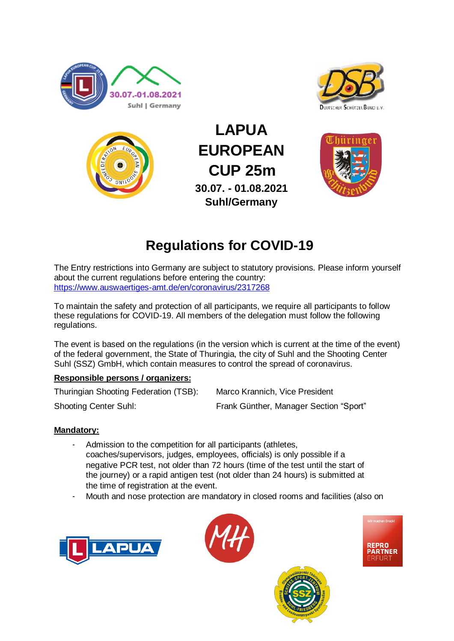





**LAPUA EUROPEAN CUP 25m 30.07. - 01.08.2021 Suhl/Germany**



# **Regulations for COVID-19**

The Entry restrictions into Germany are subject to statutory provisions. Please inform yourself about the current regulations before entering the country: <https://www.auswaertiges-amt.de/en/coronavirus/2317268>

To maintain the safety and protection of all participants, we require all participants to follow these regulations for COVID-19. All members of the delegation must follow the following regulations.

The event is based on the regulations (in the version which is current at the time of the event) of the federal government, the State of Thuringia, the city of Suhl and the Shooting Center Suhl (SSZ) GmbH, which contain measures to control the spread of coronavirus.

## **Responsible persons / organizers:**

Thuringian Shooting Federation (TSB): Marco Krannich, Vice President

Shooting Center Suhl: Frank Günther, Manager Section "Sport"

# **Mandatory:**

- Admission to the competition for all participants (athletes, coaches/supervisors, judges, employees, officials) is only possible if a negative PCR test, not older than 72 hours (time of the test until the start of the journey) or a rapid antigen test (not older than 24 hours) is submitted at the time of registration at the event.
- Mouth and nose protection are mandatory in closed rooms and facilities (also on







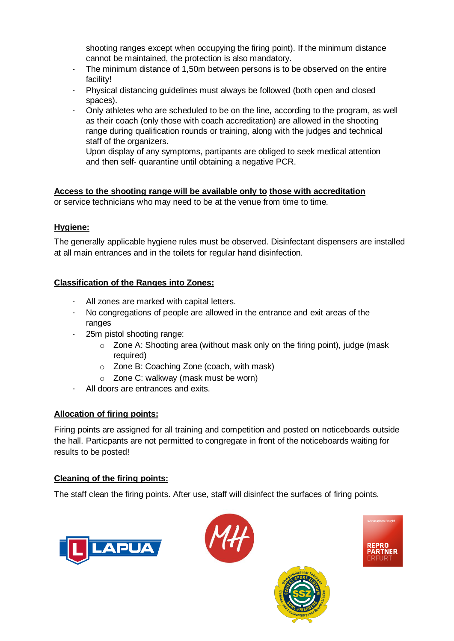shooting ranges except when occupying the firing point). If the minimum distance cannot be maintained, the protection is also mandatory.

- The minimum distance of 1,50m between persons is to be observed on the entire facility!
- Physical distancing guidelines must always be followed (both open and closed spaces).
- Only athletes who are scheduled to be on the line, according to the program, as well as their coach (only those with coach accreditation) are allowed in the shooting range during qualification rounds or training, along with the judges and technical staff of the organizers.

Upon display of any symptoms, partipants are obliged to seek medical attention and then self- quarantine until obtaining a negative PCR.

**Access to the shooting range will be available only to those with accreditation** or service technicians who may need to be at the venue from time to time.

## **Hygiene:**

The generally applicable hygiene rules must be observed. Disinfectant dispensers are installed at all main entrances and in the toilets for regular hand disinfection.

# **Classification of the Ranges into Zones:**

- All zones are marked with capital letters.
- No congregations of people are allowed in the entrance and exit areas of the ranges
- 25m pistol shooting range:
	- o Zone A: Shooting area (without mask only on the firing point), judge (mask required)
	- o Zone B: Coaching Zone (coach, with mask)
	- o Zone C: walkway (mask must be worn)
- All doors are entrances and exits.

# **Allocation of firing points:**

Firing points are assigned for all training and competition and posted on noticeboards outside the hall. Particpants are not permitted to congregate in front of the noticeboards waiting for results to be posted!

## **Cleaning of the firing points:**

The staff clean the firing points. After use, staff will disinfect the surfaces of firing points.